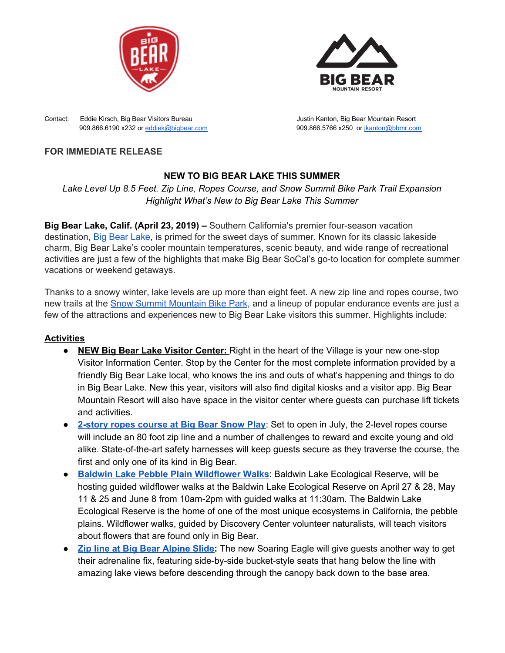



Contact: Eddie Kirsch, Big Bear Visitors Bureau Justin Kanton, Big Bear Mountain Resort 909.866.6190 x232 or [eddiek@bigbear.com](mailto:eddiek@bigbear.com) 909.866.5766 x250 or [jkanton@bbmr.com](mailto:jkanton@bbmr.com)

## **FOR IMMEDIATE RELEASE**

# **NEW TO BIG BEAR LAKE THIS SUMMER**

*Lake Level Up 8.5 Feet. Zip Line, Ropes Course, and Snow Summit Bike Park Trail Expansion Highlight What's New to Big Bear Lake This Summer*

**Big Bear Lake, Calif. (April 23, 2019) –** Southern California's premier four-season vacation destination, Big Bear [Lake](https://www.bigbear.com/), is primed for the sweet days of summer. Known for its classic lakeside charm, Big Bear Lake's cooler mountain temperatures, scenic beauty, and wide range of recreational activities are just a few of the highlights that make Big Bear SoCal's go-to location for complete summer vacations or weekend getaways.

Thanks to a snowy winter, lake levels are up more than eight feet. A new zip line and ropes course, two new trails at the **Snow Summit [Mountain](https://www.bigbearmountainresort.com/summer/plan-a-trip/purchase/bike-park-tickets) Bike Park**, and a lineup of popular endurance events are just a few of the attractions and experiences new to Big Bear Lake visitors this summer. Highlights include:

### **Activities**

- **NEW Big Bear Lake Visitor Center:** Right in the heart of the Village is your new one-stop Visitor Information Center. Stop by the Center for the most complete information provided by a friendly Big Bear Lake local, who knows the ins and outs of what's happening and things to do in Big Bear Lake. New this year, visitors will also find digital kiosks and a visitor app. Big Bear Mountain Resort will also have space in the visitor center where guests can purchase lift tickets and activities.
- **● [2-story](http://www.bigbearsnowplay.com/) ropes course at Big Bear Snow Play**: Set to open in July, the 2-level ropes course will include an 80 foot zip line and a number of challenges to reward and excite young and old alike. State-of-the-art safety harnesses will keep guests secure as they traverse the course, the first and only one of its kind in Big Bear.
- **● Baldwin Lake Pebble Plain [Wildflower](https://www.wildlife.ca.gov/Lands/Places-to-Visit/Baldwin-Lake-ER) Walks**: Baldwin Lake Ecological Reserve, will be hosting guided wildflower walks at the Baldwin Lake Ecological Reserve on April 27 & 28, May 11 & 25 and June 8 from 10am-2pm with guided walks at 11:30am. The Baldwin Lake Ecological Reserve is the home of one of the most unique ecosystems in California, the pebble plains. Wildflower walks, guided by Discovery Center volunteer naturalists, will teach visitors about flowers that are found only in Big Bear.
- **Zip line at Big Bear [Alpine](http://alpineslidebigbear.com/) Slide:** The new Soaring Eagle will give guests another way to get their adrenaline fix, featuring side-by-side bucket-style seats that hang below the line with amazing lake views before descending through the canopy back down to the base area.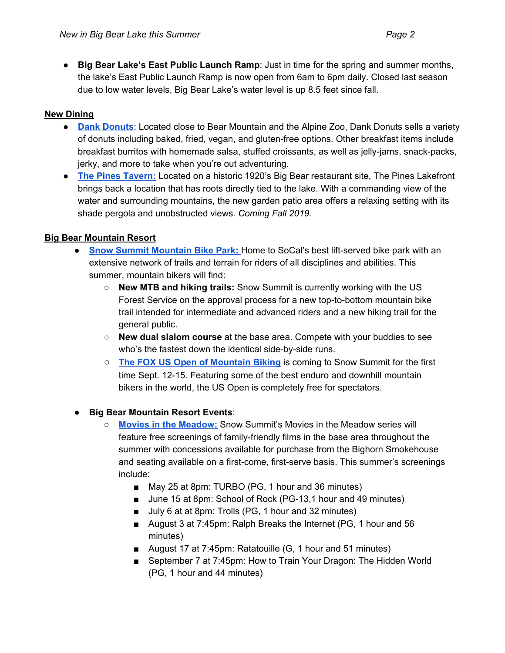**● Big Bear Lake's East Public Launch Ramp**: Just in time for the spring and summer months, the lake's East Public Launch Ramp is now open from 6am to 6pm daily. Closed last season due to low water levels, Big Bear Lake's water level is up 8.5 feet since fall.

## **New Dining**

- **Dank [Donuts](https://www.dankdonuts.com/)**: Located close to Bear Mountain and the Alpine Zoo, Dank Donuts sells a variety of donuts including baked, fried, vegan, and gluten-free options. Other breakfast items include breakfast burritos with homemade salsa, stuffed croissants, as well as jelly-jams, snack-packs, jerky, and more to take when you're out adventuring.
- **● The Pines [Tavern:](https://thepineslakefront.com/)** Located on a historic 1920's Big Bear restaurant site, The Pines Lakefront brings back a location that has roots directly tied to the lake. With a commanding view of the water and surrounding mountains, the new garden patio area offers a relaxing setting with its shade pergola and unobstructed views. *Coming Fall 2019.*

## **Big Bear Mountain Resort**

- **<u>Snow Summit [Mountain](https://www.bigbearmountainresort.com/summer/mountain-biking/mountain-biking/downhill-bike-park) Bike Park:</u>** Home to SoCal's best lift-served bike park with an extensive network of trails and terrain for riders of all disciplines and abilities. This summer, mountain bikers will find:
	- **New MTB and hiking trails:** Snow Summit is currently working with the US Forest Service on the approval process for a new top-to-bottom mountain bike trail intended for intermediate and advanced riders and a new hiking trail for the general public.
	- **New dual slalom course** at the base area. Compete with your buddies to see who's the fastest down the identical side-by-side runs.
	- **The FOX US Open of [Mountain](http://usopen.bike/#about) Biking** is coming to Snow Summit for the first time Sept. 12-15. Featuring some of the best enduro and downhill mountain bikers in the world, the US Open is completely free for spectators.

### ● **Big Bear Mountain Resort Events**:

- **Movies in the [Meadow:](https://www.bigbearmountainresort.com/search-results?q=movies%20in%20the%20meadow)** [S](https://www.bigbearmountainresort.com/search-results?q=movies%20in%20the%20meadow)now Summit's Movies in the Meadow series will feature free screenings of family-friendly films in the base area throughout the summer with concessions available for purchase from the Bighorn Smokehouse and seating available on a first-come, first-serve basis. This summer's screenings include:
	- May 25 at 8pm: TURBO (PG, 1 hour and 36 minutes)
	- June 15 at 8pm: School of Rock (PG-13,1 hour and 49 minutes)
	- July 6 at at 8pm: Trolls (PG, 1 hour and 32 minutes)
	- August 3 at 7:45pm: Ralph Breaks the Internet (PG, 1 hour and 56 minutes)
	- August 17 at 7:45pm: Ratatouille (G, 1 hour and 51 minutes)
	- September 7 at 7:45pm: How to Train Your Dragon: The Hidden World (PG, 1 hour and 44 minutes)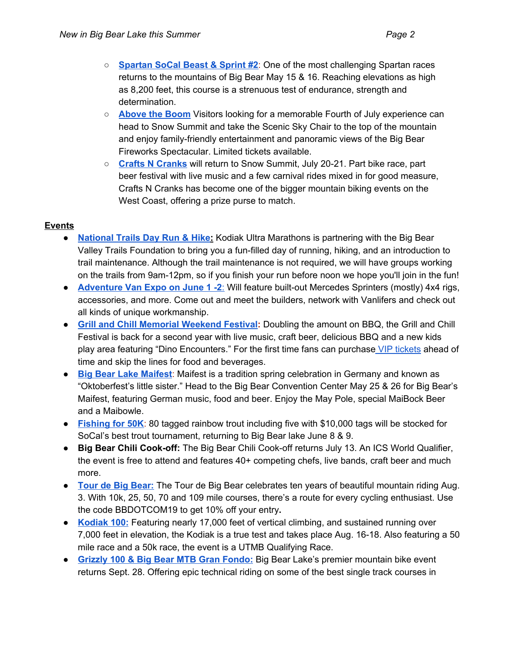- **[Spartan](https://www.spartan.com/en/race/detail/2645/overview) SoCal Beast & Sprint #2**: One of the most challenging Spartan races returns to the mountains of Big Bear May 15 & 16. Reaching elevations as high as 8,200 feet, this course is a strenuous test of endurance, strength and determination.
- **[Above](https://www.bigbearmountainresort.com/summer/things-to-do/events/event-detail?url=above-the-boom&day=4&month=7&year=2019) the Boom** Visitors looking for a memorable Fourth of July experience can head to Snow Summit and take the Scenic Sky Chair to the top of the mountain and enjoy family-friendly entertainment and panoramic views of the Big Bear Fireworks Spectacular. Limited tickets available.
- **Crafts N [Cranks](https://www.bigbearmountainresort.com/summer/things-to-do/events/event-detail?url=crafts-cranks&day=22&month=7&year=2017)** will return to Snow Summit, July 20-21. Part bike race, part beer festival with live music and a few carnival rides mixed in for good measure, Crafts N Cranks has become one of the bigger mountain biking events on the West Coast, offering a prize purse to match.

### **Events**

- **● [National](https://ultrasignup.com/register.aspx?did=65695) Trails Day Run & Hike:** Kodiak Ultra Marathons is partnering with the Big Bear Valley Trails Foundation to bring you a fun-filled day of running, hiking, and an introduction to trail maintenance. Although the trail maintenance is not required, we will have groups working on the trails from 9am-12pm, so if you finish your run before noon we hope you'll join in the fun!
- **● [Adventure](https://www.adventurevanexpo.com/contact) Van Expo on June 1 -2**[:](https://www.adventurevanexpo.com/contact) Will feature built-out Mercedes Sprinters (mostly) 4x4 rigs, accessories, and more. Come out and meet the builders, network with Vanlifers and check out all kinds of unique workmanship.
- **Grill and Chill Memorial [Weekend](https://www.bigbear.com/things-to-do/special-events/2019-grill-and-chill/) Festival:** Doubling the amount on BBQ, the Grill and Chill Festival is back for a second year with live music, craft beer, delicious BBQ and a new kids play area featuring "Dino Encounters." For the first time fans can purchase VIP [tickets](https://www.eventbrite.com/e/2019-grill-chill-kc-bbq-advance-grill-master-premium-access-tickets-tickets-55939115400) ahead of time and skip the lines for food and beverages.
- **Big Bear Lake [Maifest](https://bigbearevents.com/event/2nd-annual-wyatts-maifest/2019-05-25/)**: Maifest is a tradition spring celebration in Germany and known as "Oktoberfest's little sister." Head to the Big Bear Convention Center May 25 & 26 for Big Bear's Maifest, featuring German music, food and beer. Enjoy the May Pole, special MaiBock Beer and a Maibowle.
- **[Fishing](https://www.bigbear.com/things-to-do/special-events/fishing-for-50k-trout-tournament/) for 50K**: 80 tagged rainbow trout including five with \$10,000 tags will be stocked for SoCal's best trout tournament, returning to Big Bear lake June 8 & 9.
- **Big Bear Chili Cook-off:** The Big Bear Chili Cook-off returns July 13. An ICS World Qualifier, the event is free to attend and features 40+ competing chefs, live bands, craft beer and much more.
- **Tour de Big [Bear:](https://bigbearcycling.com/tour-de-big-bear-big-bear-dot-com/)** The Tour de Big Bear celebrates ten years of beautiful mountain riding Aug. 3. With 10k, 25, 50, 70 and 109 mile courses, there's a route for every cycling enthusiast. Use the code BBDOTCOM19 to get 10% off your entry**.**
- **[Kodiak](https://www.kodiak100.com/) 100:** Featuring nearly 17,000 feet of vertical climbing, and sustained running over 7,000 feet in elevation, the Kodiak is a true test and takes place Aug. 16-18. Also featuring a 50 mile race and a 50k race, the event is a UTMB Qualifying Race.
- **Grizzly 100 & Big Bear MTB Gran [Fondo:](http://bbvrace.com/)** Big Bear Lake's premier mountain bike event returns Sept. 28. Offering epic technical riding on some of the best single track courses in